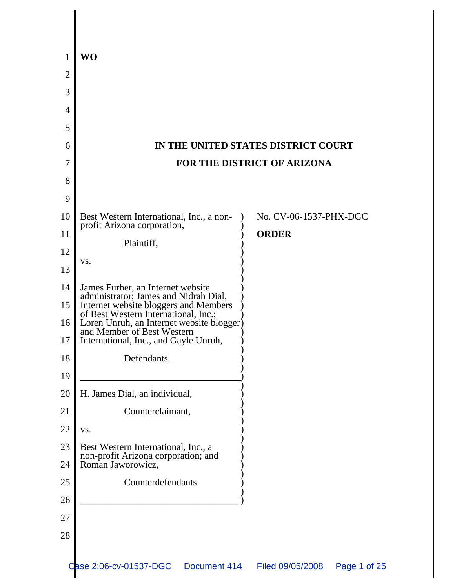|                | <b>WO</b>                                                                                                                                                                                                                                                                       |                                     |
|----------------|---------------------------------------------------------------------------------------------------------------------------------------------------------------------------------------------------------------------------------------------------------------------------------|-------------------------------------|
| $\overline{2}$ |                                                                                                                                                                                                                                                                                 |                                     |
| 3              |                                                                                                                                                                                                                                                                                 |                                     |
| 4              |                                                                                                                                                                                                                                                                                 |                                     |
| 5              |                                                                                                                                                                                                                                                                                 |                                     |
| 6              |                                                                                                                                                                                                                                                                                 | IN THE UNITED STATES DISTRICT COURT |
| 7              | FOR THE DISTRICT OF ARIZONA                                                                                                                                                                                                                                                     |                                     |
| 8              |                                                                                                                                                                                                                                                                                 |                                     |
| 9              |                                                                                                                                                                                                                                                                                 |                                     |
| 10             | Best Western International, Inc., a non-                                                                                                                                                                                                                                        | No. CV-06-1537-PHX-DGC              |
| 11             | profit Arizona corporation,                                                                                                                                                                                                                                                     | <b>ORDER</b>                        |
| 12             | Plaintiff,<br>VS.                                                                                                                                                                                                                                                               |                                     |
| 13             |                                                                                                                                                                                                                                                                                 |                                     |
| 14             | James Furber, an Internet website<br>administrator; James and Nidrah Dial,<br>Internet website bloggers and Members<br>of Best Western International, Inc.;<br>Loren Unruh, an Internet website blogger)<br>and Member of Best Western<br>International, Inc., and Gayle Unruh, |                                     |
| 15             |                                                                                                                                                                                                                                                                                 |                                     |
| 16             |                                                                                                                                                                                                                                                                                 |                                     |
| 17             |                                                                                                                                                                                                                                                                                 |                                     |
| 18             | Defendants.                                                                                                                                                                                                                                                                     |                                     |
| 19             |                                                                                                                                                                                                                                                                                 |                                     |
| 20             | H. James Dial, an individual,                                                                                                                                                                                                                                                   |                                     |
| 21             | Counterclaimant,                                                                                                                                                                                                                                                                |                                     |
| 22             | VS.                                                                                                                                                                                                                                                                             |                                     |
| 23             | Best Western International, Inc., a<br>non-profit Arizona corporation; and<br>Roman Jaworowicz,                                                                                                                                                                                 |                                     |
| 24             |                                                                                                                                                                                                                                                                                 |                                     |
| $25\,$         | Counterdefendants.                                                                                                                                                                                                                                                              |                                     |
| 26             |                                                                                                                                                                                                                                                                                 |                                     |
| 27             |                                                                                                                                                                                                                                                                                 |                                     |
| 28             |                                                                                                                                                                                                                                                                                 |                                     |
|                |                                                                                                                                                                                                                                                                                 |                                     |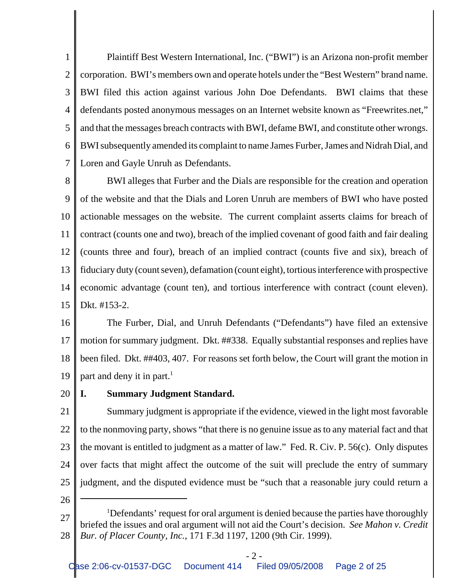1 2 3 4 5 6 7 Plaintiff Best Western International, Inc. ("BWI") is an Arizona non-profit member corporation. BWI's members own and operate hotels under the "Best Western" brand name. BWI filed this action against various John Doe Defendants. BWI claims that these defendants posted anonymous messages on an Internet website known as "Freewrites.net," and that the messages breach contracts with BWI, defame BWI, and constitute other wrongs. BWI subsequently amended its complaint to name James Furber, James and Nidrah Dial, and Loren and Gayle Unruh as Defendants.

8 9 10 11 12 13 14 15 BWI alleges that Furber and the Dials are responsible for the creation and operation of the website and that the Dials and Loren Unruh are members of BWI who have posted actionable messages on the website. The current complaint asserts claims for breach of contract (counts one and two), breach of the implied covenant of good faith and fair dealing (counts three and four), breach of an implied contract (counts five and six), breach of fiduciary duty (count seven), defamation (count eight), tortious interference with prospective economic advantage (count ten), and tortious interference with contract (count eleven). Dkt. #153-2.

16 17 18 19 The Furber, Dial, and Unruh Defendants ("Defendants") have filed an extensive motion for summary judgment. Dkt. ##338. Equally substantial responses and replies have been filed. Dkt. ##403, 407. For reasons set forth below, the Court will grant the motion in part and deny it in part.<sup>1</sup>

### 20 **I. Summary Judgment Standard.**

21 22 23 24 25 Summary judgment is appropriate if the evidence, viewed in the light most favorable to the nonmoving party, shows "that there is no genuine issue as to any material fact and that the movant is entitled to judgment as a matter of law." Fed. R. Civ. P. 56(c). Only disputes over facts that might affect the outcome of the suit will preclude the entry of summary judgment, and the disputed evidence must be "such that a reasonable jury could return a

<sup>27</sup> 28 <sup>1</sup>Defendants' request for oral argument is denied because the parties have thoroughly briefed the issues and oral argument will not aid the Court's decision. *See Mahon v. Credit Bur. of Placer County, Inc.*, 171 F.3d 1197, 1200 (9th Cir. 1999).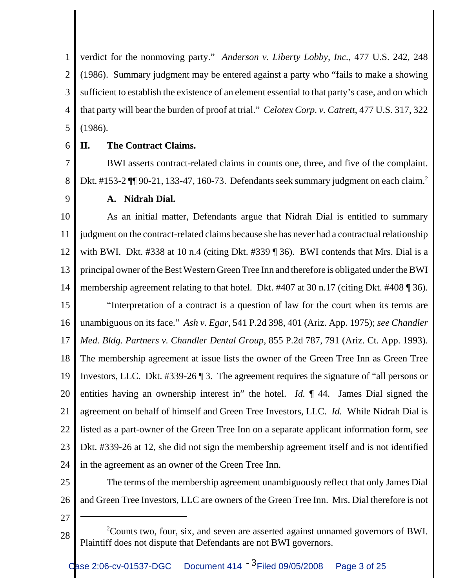1 2 3 4 5 verdict for the nonmoving party." *Anderson v. Liberty Lobby, Inc.*, 477 U.S. 242, 248 (1986). Summary judgment may be entered against a party who "fails to make a showing sufficient to establish the existence of an element essential to that party's case, and on which that party will bear the burden of proof at trial." *Celotex Corp. v. Catrett*, 477 U.S. 317, 322 (1986).

6

### **II. The Contract Claims.**

7 8 BWI asserts contract-related claims in counts one, three, and five of the complaint. Dkt. #153-2  $\P$  90-21, 133-47, 160-73. Defendants seek summary judgment on each claim.<sup>2</sup>

9

### **A. Nidrah Dial.**

10 11 12 13 14 15 16 17 18 19 20 21 22 23 24 As an initial matter, Defendants argue that Nidrah Dial is entitled to summary judgment on the contract-related claims because she has never had a contractual relationship with BWI. Dkt. #338 at 10 n.4 (citing Dkt. #339 ¶ 36). BWI contends that Mrs. Dial is a principal owner of the Best Western Green Tree Inn and therefore is obligated under the BWI membership agreement relating to that hotel. Dkt. #407 at 30 n.17 (citing Dkt. #408 ¶ 36). "Interpretation of a contract is a question of law for the court when its terms are unambiguous on its face." *Ash v. Egar*, 541 P.2d 398, 401 (Ariz. App. 1975); *see Chandler Med. Bldg. Partners v. Chandler Dental Group*, 855 P.2d 787, 791 (Ariz. Ct. App. 1993). The membership agreement at issue lists the owner of the Green Tree Inn as Green Tree Investors, LLC. Dkt. #339-26 ¶ 3. The agreement requires the signature of "all persons or entities having an ownership interest in" the hotel. *Id.* ¶ 44. James Dial signed the agreement on behalf of himself and Green Tree Investors, LLC. *Id.* While Nidrah Dial is listed as a part-owner of the Green Tree Inn on a separate applicant information form, *see* Dkt. #339-26 at 12, she did not sign the membership agreement itself and is not identified in the agreement as an owner of the Green Tree Inn.

- 25 26 The terms of the membership agreement unambiguously reflect that only James Dial and Green Tree Investors, LLC are owners of the Green Tree Inn. Mrs. Dial therefore is not
- 27

<sup>28</sup> <sup>2</sup>Counts two, four, six, and seven are asserted against unnamed governors of BWI. Plaintiff does not dispute that Defendants are not BWI governors.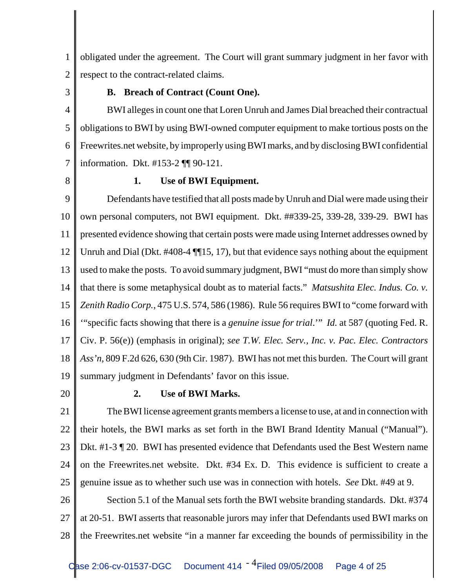1 2 obligated under the agreement. The Court will grant summary judgment in her favor with respect to the contract-related claims.

3

### **B. Breach of Contract (Count One).**

4 5 6 7 BWI alleges in count one that Loren Unruh and James Dial breached their contractual obligations to BWI by using BWI-owned computer equipment to make tortious posts on the Freewrites.net website, by improperly using BWI marks, and by disclosing BWI confidential information. Dkt. #153-2 ¶¶ 90-121.

8

### **1. Use of BWI Equipment.**

9 10 11 12 13 14 15 16 17 18 19 Defendants have testified that all posts made by Unruh and Dial were made using their own personal computers, not BWI equipment. Dkt. ##339-25, 339-28, 339-29. BWI has presented evidence showing that certain posts were made using Internet addresses owned by Unruh and Dial (Dkt. #408-4 ¶¶15, 17), but that evidence says nothing about the equipment used to make the posts. To avoid summary judgment, BWI "must do more than simply show that there is some metaphysical doubt as to material facts." *Matsushita Elec. Indus. Co. v. Zenith Radio Corp.*, 475 U.S. 574, 586 (1986). Rule 56 requires BWI to "come forward with '"specific facts showing that there is a *genuine issue for trial*.'" *Id.* at 587 (quoting Fed. R. Civ. P. 56(e)) (emphasis in original); *see T.W. Elec. Serv., Inc. v. Pac. Elec. Contractors Ass'n*, 809 F.2d 626, 630 (9th Cir. 1987). BWI has not met this burden. The Court will grant summary judgment in Defendants' favor on this issue.

20

### **2. Use of BWI Marks.**

21 22 23 24 25 The BWI license agreement grants members a license to use, at and in connection with their hotels, the BWI marks as set forth in the BWI Brand Identity Manual ("Manual"). Dkt. #1-3 ¶ 20. BWI has presented evidence that Defendants used the Best Western name on the Freewrites.net website. Dkt. #34 Ex. D. This evidence is sufficient to create a genuine issue as to whether such use was in connection with hotels. *See* Dkt. #49 at 9.

26 27 28 Section 5.1 of the Manual sets forth the BWI website branding standards. Dkt. #374 at 20-51. BWI asserts that reasonable jurors may infer that Defendants used BWI marks on the Freewrites.net website "in a manner far exceeding the bounds of permissibility in the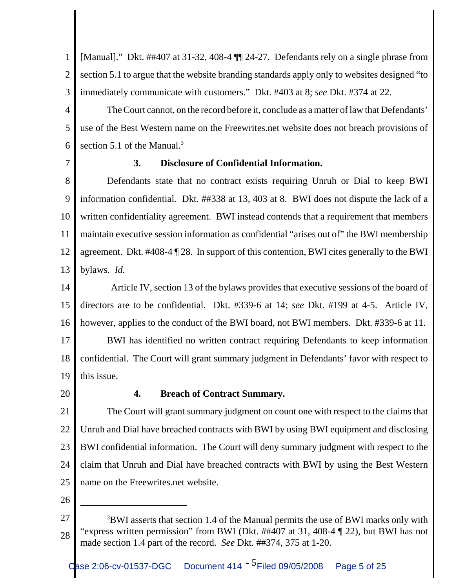1 2 3 [Manual]." Dkt. ##407 at 31-32, 408-4 ¶¶ 24-27. Defendants rely on a single phrase from section 5.1 to argue that the website branding standards apply only to websites designed "to immediately communicate with customers." Dkt. #403 at 8; *see* Dkt. #374 at 22.

4 5 6 The Court cannot, on the record before it, conclude as a matter of law that Defendants' use of the Best Western name on the Freewrites.net website does not breach provisions of section 5.1 of the Manual. $3$ 

7

### **3. Disclosure of Confidential Information.**

8 9 10 11 12 13 Defendants state that no contract exists requiring Unruh or Dial to keep BWI information confidential. Dkt. ##338 at 13, 403 at 8. BWI does not dispute the lack of a written confidentiality agreement. BWI instead contends that a requirement that members maintain executive session information as confidential "arises out of" the BWI membership agreement. Dkt. #408-4 ¶ 28. In support of this contention, BWI cites generally to the BWI bylaws. *Id.*

14 15 16 Article IV, section 13 of the bylaws provides that executive sessions of the board of directors are to be confidential. Dkt. #339-6 at 14; *see* Dkt. #199 at 4-5. Article IV, however, applies to the conduct of the BWI board, not BWI members. Dkt. #339-6 at 11.

17 18 19 BWI has identified no written contract requiring Defendants to keep information confidential. The Court will grant summary judgment in Defendants' favor with respect to this issue.

20

### **4. Breach of Contract Summary.**

21 22 23 24 25 The Court will grant summary judgment on count one with respect to the claims that Unruh and Dial have breached contracts with BWI by using BWI equipment and disclosing BWI confidential information. The Court will deny summary judgment with respect to the claim that Unruh and Dial have breached contracts with BWI by using the Best Western name on the Freewrites.net website.

<sup>27</sup> 28 <sup>3</sup>BWI asserts that section 1.4 of the Manual permits the use of BWI marks only with "express written permission" from BWI (Dkt. ##407 at 31, 408-4 ¶ 22), but BWI has not made section 1.4 part of the record. *See* Dkt. ##374, 375 at 1-20.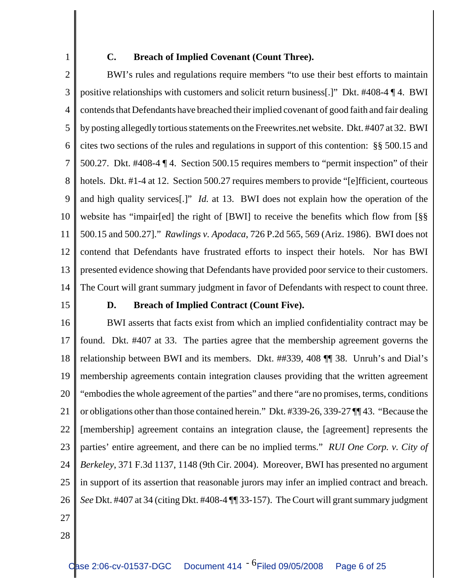## 1

### **C. Breach of Implied Covenant (Count Three).**

2 3 4 5 6 7 8 9 10 11 12 13 14 BWI's rules and regulations require members "to use their best efforts to maintain positive relationships with customers and solicit return business[.]" Dkt. #408-4 ¶ 4. BWI contends that Defendants have breached their implied covenant of good faith and fair dealing by posting allegedly tortious statements on the Freewrites.net website. Dkt. #407 at 32. BWI cites two sections of the rules and regulations in support of this contention: §§ 500.15 and 500.27. Dkt. #408-4 ¶ 4. Section 500.15 requires members to "permit inspection" of their hotels. Dkt. #1-4 at 12. Section 500.27 requires members to provide "[e]fficient, courteous and high quality services[.]" *Id.* at 13. BWI does not explain how the operation of the website has "impair[ed] the right of [BWI] to receive the benefits which flow from [§§ 500.15 and 500.27]." *Rawlings v. Apodaca*, 726 P.2d 565, 569 (Ariz. 1986). BWI does not contend that Defendants have frustrated efforts to inspect their hotels. Nor has BWI presented evidence showing that Defendants have provided poor service to their customers. The Court will grant summary judgment in favor of Defendants with respect to count three.

15

### **D. Breach of Implied Contract (Count Five).**

16 17 18 19 20 21 22 23 24 25 26 27 BWI asserts that facts exist from which an implied confidentiality contract may be found. Dkt. #407 at 33. The parties agree that the membership agreement governs the relationship between BWI and its members. Dkt. ##339, 408 ¶¶ 38. Unruh's and Dial's membership agreements contain integration clauses providing that the written agreement "embodies the whole agreement of the parties" and there "are no promises, terms, conditions or obligations other than those contained herein." Dkt. #339-26, 339-27 ¶¶ 43. "Because the [membership] agreement contains an integration clause, the [agreement] represents the parties' entire agreement, and there can be no implied terms." *RUI One Corp. v. City of Berkeley*, 371 F.3d 1137, 1148 (9th Cir. 2004). Moreover, BWI has presented no argument in support of its assertion that reasonable jurors may infer an implied contract and breach. *See* Dkt. #407 at 34 (citing Dkt. #408-4 ¶¶ 33-157). The Court will grant summary judgment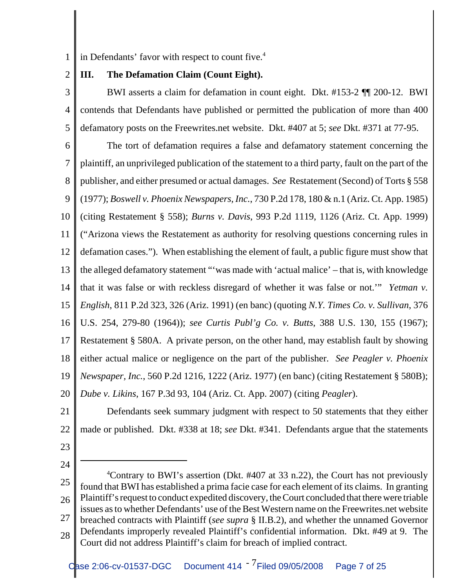1 in Defendants' favor with respect to count five.<sup>4</sup>

2 **III. The Defamation Claim (Count Eight).**

3 4 5 BWI asserts a claim for defamation in count eight. Dkt. #153-2 ¶¶ 200-12. BWI contends that Defendants have published or permitted the publication of more than 400 defamatory posts on the Freewrites.net website. Dkt. #407 at 5; *see* Dkt. #371 at 77-95.

6 7 8 9 10 11 12 13 14 15 16 17 18 19 20 The tort of defamation requires a false and defamatory statement concerning the plaintiff, an unprivileged publication of the statement to a third party, fault on the part of the publisher, and either presumed or actual damages. *See* Restatement (Second) of Torts § 558 (1977); *Boswell v. Phoenix Newspapers, Inc.*, 730 P.2d 178, 180 & n.1 (Ariz. Ct. App. 1985) (citing Restatement § 558); *Burns v. Davis*, 993 P.2d 1119, 1126 (Ariz. Ct. App. 1999) ("Arizona views the Restatement as authority for resolving questions concerning rules in defamation cases."). When establishing the element of fault, a public figure must show that the alleged defamatory statement "'was made with 'actual malice' – that is, with knowledge that it was false or with reckless disregard of whether it was false or not.'" *Yetman v. English*, 811 P.2d 323, 326 (Ariz. 1991) (en banc) (quoting *N.Y. Times Co. v. Sullivan*, 376 U.S. 254, 279-80 (1964)); *see Curtis Publ'g Co. v. Butts*, 388 U.S. 130, 155 (1967); Restatement § 580A. A private person, on the other hand, may establish fault by showing either actual malice or negligence on the part of the publisher. *See Peagler v. Phoenix Newspaper, Inc.*, 560 P.2d 1216, 1222 (Ariz. 1977) (en banc) (citing Restatement § 580B); *Dube v. Likins*, 167 P.3d 93, 104 (Ariz. Ct. App. 2007) (citing *Peagler*).

21

22 Defendants seek summary judgment with respect to 50 statements that they either made or published. Dkt. #338 at 18; *see* Dkt. #341. Defendants argue that the statements

- 23
- 24

<sup>25</sup> 26 27 28 <sup>4</sup>Contrary to BWI's assertion (Dkt. #407 at 33 n.22), the Court has not previously found that BWI has established a prima facie case for each element of its claims. In granting Plaintiff's request to conduct expedited discovery, the Court concluded that there were triable issues as to whether Defendants' use of the Best Western name on the Freewrites.net website breached contracts with Plaintiff (*see supra* § II.B.2), and whether the unnamed Governor Defendants improperly revealed Plaintiff's confidential information. Dkt. #49 at 9. The Court did not address Plaintiff's claim for breach of implied contract.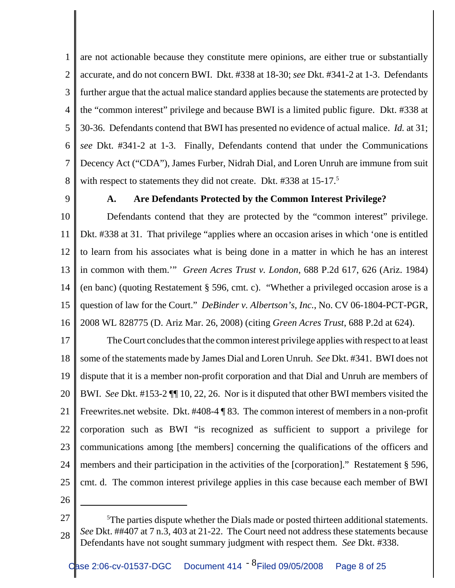1 2 3 4 5 6 7 8 are not actionable because they constitute mere opinions, are either true or substantially accurate, and do not concern BWI. Dkt. #338 at 18-30; *see* Dkt. #341-2 at 1-3. Defendants further argue that the actual malice standard applies because the statements are protected by the "common interest" privilege and because BWI is a limited public figure. Dkt. #338 at 30-36. Defendants contend that BWI has presented no evidence of actual malice. *Id.* at 31; *see* Dkt. #341-2 at 1-3. Finally, Defendants contend that under the Communications Decency Act ("CDA"), James Furber, Nidrah Dial, and Loren Unruh are immune from suit with respect to statements they did not create. Dkt.  $\#338$  at 15-17.<sup>5</sup>

9

### **A. Are Defendants Protected by the Common Interest Privilege?**

10 11 12 13 14 15 16 Defendants contend that they are protected by the "common interest" privilege. Dkt. #338 at 31. That privilege "applies where an occasion arises in which 'one is entitled to learn from his associates what is being done in a matter in which he has an interest in common with them.'" *Green Acres Trust v. London*, 688 P.2d 617, 626 (Ariz. 1984) (en banc) (quoting Restatement § 596, cmt. c). "Whether a privileged occasion arose is a question of law for the Court." *DeBinder v. Albertson's, Inc.*, No. CV 06-1804-PCT-PGR, 2008 WL 828775 (D. Ariz Mar. 26, 2008) (citing *Green Acres Trust*, 688 P.2d at 624).

17 18 19 20 21 22 23 24 25 The Court concludes that the common interest privilege applies with respect to at least some of the statements made by James Dial and Loren Unruh. *See* Dkt. #341. BWI does not dispute that it is a member non-profit corporation and that Dial and Unruh are members of BWI. *See* Dkt. #153-2 ¶¶ 10, 22, 26. Nor is it disputed that other BWI members visited the Freewrites.net website. Dkt. #408-4 ¶ 83. The common interest of members in a non-profit corporation such as BWI "is recognized as sufficient to support a privilege for communications among [the members] concerning the qualifications of the officers and members and their participation in the activities of the [corporation]." Restatement § 596, cmt. d. The common interest privilege applies in this case because each member of BWI

<sup>27</sup> 28  $5$ The parties dispute whether the Dials made or posted thirteen additional statements. *See* Dkt. ##407 at 7 n.3, 403 at 21-22. The Court need not address these statements because Defendants have not sought summary judgment with respect them. *See* Dkt. #338.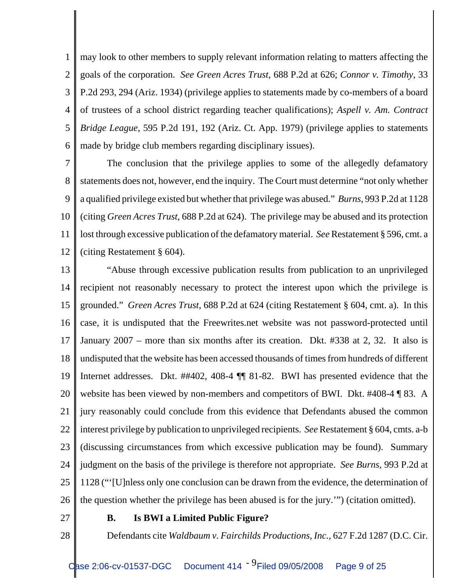1 2 3 4 5 6 may look to other members to supply relevant information relating to matters affecting the goals of the corporation. *See Green Acres Trust*, 688 P.2d at 626; *Connor v. Timothy*, 33 P.2d 293, 294 (Ariz. 1934) (privilege applies to statements made by co-members of a board of trustees of a school district regarding teacher qualifications); *Aspell v. Am. Contract Bridge League*, 595 P.2d 191, 192 (Ariz. Ct. App. 1979) (privilege applies to statements made by bridge club members regarding disciplinary issues).

7 8 9 10 11 12 The conclusion that the privilege applies to some of the allegedly defamatory statements does not, however, end the inquiry. The Court must determine "not only whether a qualified privilege existed but whether that privilege was abused." *Burns*, 993 P.2d at 1128 (citing *Green Acres Trust*, 688 P.2d at 624). The privilege may be abused and its protection lost through excessive publication of the defamatory material. *See* Restatement § 596, cmt. a (citing Restatement § 604).

13 14 15 16 17 18 19 20 21 22 23 24 25 26 "Abuse through excessive publication results from publication to an unprivileged recipient not reasonably necessary to protect the interest upon which the privilege is grounded." *Green Acres Trust*, 688 P.2d at 624 (citing Restatement § 604, cmt. a). In this case, it is undisputed that the Freewrites.net website was not password-protected until January 2007 – more than six months after its creation. Dkt. #338 at 2, 32. It also is undisputed that the website has been accessed thousands of times from hundreds of different Internet addresses. Dkt. ##402, 408-4 ¶¶ 81-82. BWI has presented evidence that the website has been viewed by non-members and competitors of BWI. Dkt. #408-4 ¶ 83. A jury reasonably could conclude from this evidence that Defendants abused the common interest privilege by publication to unprivileged recipients. *See* Restatement § 604, cmts. a-b (discussing circumstances from which excessive publication may be found). Summary judgment on the basis of the privilege is therefore not appropriate. *See Burns*, 993 P.2d at 1128 ("'[U]nless only one conclusion can be drawn from the evidence, the determination of the question whether the privilege has been abused is for the jury.'") (citation omitted).

27

28

**B. Is BWI a Limited Public Figure?**

Defendants cite *Waldbaum v. Fairchilds Productions, Inc.*, 627 F.2d 1287 (D.C. Cir.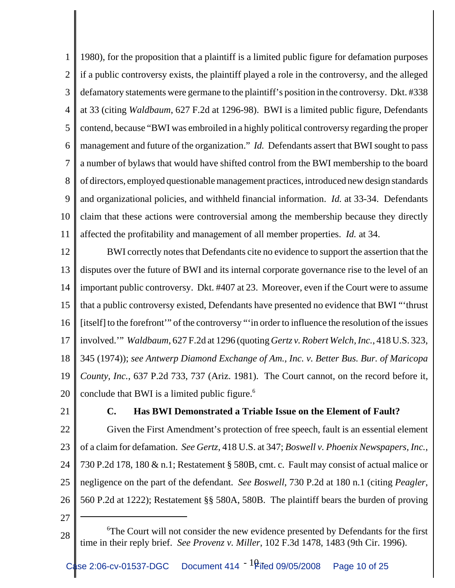1 2 3 4 5 6 7 8 9 10 11 1980), for the proposition that a plaintiff is a limited public figure for defamation purposes if a public controversy exists, the plaintiff played a role in the controversy, and the alleged defamatory statements were germane to the plaintiff's position in the controversy. Dkt. #338 at 33 (citing *Waldbaum*, 627 F.2d at 1296-98). BWI is a limited public figure, Defendants contend, because "BWI was embroiled in a highly political controversy regarding the proper management and future of the organization." *Id.* Defendants assert that BWI sought to pass a number of bylaws that would have shifted control from the BWI membership to the board of directors, employed questionable management practices, introduced new design standards and organizational policies, and withheld financial information. *Id.* at 33-34. Defendants claim that these actions were controversial among the membership because they directly affected the profitability and management of all member properties. *Id.* at 34.

12 13 14 15 16 17 18 19 20 BWI correctly notes that Defendants cite no evidence to support the assertion that the disputes over the future of BWI and its internal corporate governance rise to the level of an important public controversy. Dkt. #407 at 23. Moreover, even if the Court were to assume that a public controversy existed, Defendants have presented no evidence that BWI "'thrust [itself] to the forefront'" of the controversy "'in order to influence the resolution of the issues involved.'" *Waldbaum*, 627 F.2d at 1296 (quoting *Gertz v. Robert Welch, Inc.*, 418 U.S. 323, 345 (1974)); *see Antwerp Diamond Exchange of Am., Inc. v. Better Bus. Bur. of Maricopa County, Inc.*, 637 P.2d 733, 737 (Ariz. 1981). The Court cannot, on the record before it, conclude that BWI is a limited public figure. $6$ 

21

### **C. Has BWI Demonstrated a Triable Issue on the Element of Fault?**

22 23 24 25 26 Given the First Amendment's protection of free speech, fault is an essential element of a claim for defamation. *See Gertz*, 418 U.S. at 347; *Boswell v. Phoenix Newspapers, Inc.*, 730 P.2d 178, 180 & n.1; Restatement § 580B, cmt. c. Fault may consist of actual malice or negligence on the part of the defendant. *See Boswell*, 730 P.2d at 180 n.1 (citing *Peagler*, 560 P.2d at 1222); Restatement §§ 580A, 580B. The plaintiff bears the burden of proving

<sup>28</sup> <sup>6</sup>The Court will not consider the new evidence presented by Defendants for the first time in their reply brief. *See Provenz v. Miller*, 102 F.3d 1478, 1483 (9th Cir. 1996).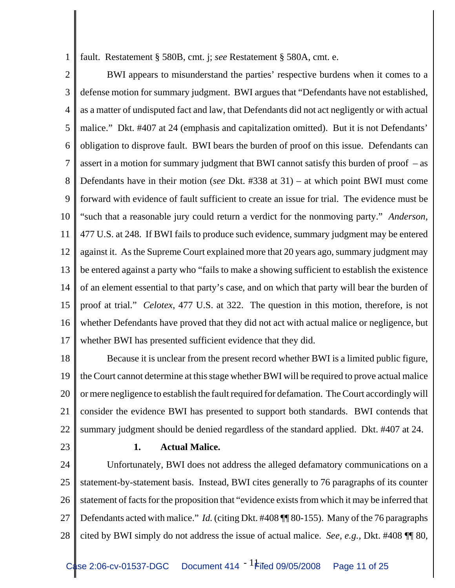1 fault. Restatement § 580B, cmt. j; *see* Restatement § 580A, cmt. e.

2 3 4 5 6 7 8 9 10 11 12 13 14 15 16 17 BWI appears to misunderstand the parties' respective burdens when it comes to a defense motion for summary judgment. BWI argues that "Defendants have not established, as a matter of undisputed fact and law, that Defendants did not act negligently or with actual malice." Dkt. #407 at 24 (emphasis and capitalization omitted). But it is not Defendants' obligation to disprove fault. BWI bears the burden of proof on this issue. Defendants can assert in a motion for summary judgment that BWI cannot satisfy this burden of proof – as Defendants have in their motion (*see* Dkt. #338 at 31) – at which point BWI must come forward with evidence of fault sufficient to create an issue for trial. The evidence must be "such that a reasonable jury could return a verdict for the nonmoving party." *Anderson*, 477 U.S. at 248. If BWI fails to produce such evidence, summary judgment may be entered against it. As the Supreme Court explained more that 20 years ago, summary judgment may be entered against a party who "fails to make a showing sufficient to establish the existence of an element essential to that party's case, and on which that party will bear the burden of proof at trial." *Celotex*, 477 U.S. at 322. The question in this motion, therefore, is not whether Defendants have proved that they did not act with actual malice or negligence, but whether BWI has presented sufficient evidence that they did.

18 19 20 21 22 Because it is unclear from the present record whether BWI is a limited public figure, the Court cannot determine at this stage whether BWI will be required to prove actual malice or mere negligence to establish the fault required for defamation. The Court accordingly will consider the evidence BWI has presented to support both standards. BWI contends that summary judgment should be denied regardless of the standard applied. Dkt. #407 at 24.

23

### **1. Actual Malice.**

24 25 26 27 28 Unfortunately, BWI does not address the alleged defamatory communications on a statement-by-statement basis. Instead, BWI cites generally to 76 paragraphs of its counter statement of facts for the proposition that "evidence exists from which it may be inferred that Defendants acted with malice." *Id.* (citing Dkt. #408 ¶¶ 80-155). Many of the 76 paragraphs cited by BWI simply do not address the issue of actual malice. *See, e.g.,* Dkt. #408 ¶¶ 80,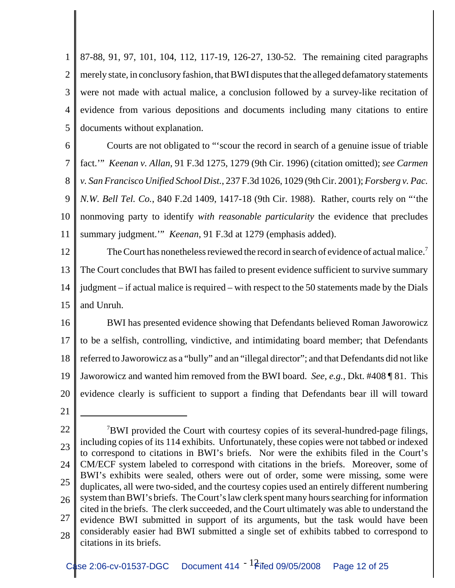1 2 3 4 5 87-88, 91, 97, 101, 104, 112, 117-19, 126-27, 130-52. The remaining cited paragraphs merely state, in conclusory fashion, that BWI disputes that the alleged defamatory statements were not made with actual malice, a conclusion followed by a survey-like recitation of evidence from various depositions and documents including many citations to entire documents without explanation.

6 7 8 9 10 11 Courts are not obligated to "'scour the record in search of a genuine issue of triable fact.'" *Keenan v. Allan*, 91 F.3d 1275, 1279 (9th Cir. 1996) (citation omitted); *see Carmen v. San Francisco Unified School Dist.*, 237 F.3d 1026, 1029 (9th Cir. 2001); *Forsberg v. Pac. N.W. Bell Tel. Co.*, 840 F.2d 1409, 1417-18 (9th Cir. 1988). Rather, courts rely on "'the nonmoving party to identify *with reasonable particularity* the evidence that precludes summary judgment.'" *Keenan*, 91 F.3d at 1279 (emphasis added).

12 13 14 15 The Court has nonetheless reviewed the record in search of evidence of actual malice.<sup>7</sup> The Court concludes that BWI has failed to present evidence sufficient to survive summary judgment – if actual malice is required – with respect to the 50 statements made by the Dials and Unruh.

16 17 18 19 20 BWI has presented evidence showing that Defendants believed Roman Jaworowicz to be a selfish, controlling, vindictive, and intimidating board member; that Defendants referred to Jaworowicz as a "bully" and an "illegal director"; and that Defendants did not like Jaworowicz and wanted him removed from the BWI board. *See, e.g.*, Dkt. #408 ¶ 81. This evidence clearly is sufficient to support a finding that Defendants bear ill will toward

<sup>22</sup> 23 24 25 26 27 28 <sup>7</sup>BWI provided the Court with courtesy copies of its several-hundred-page filings, including copies of its 114 exhibits. Unfortunately, these copies were not tabbed or indexed to correspond to citations in BWI's briefs. Nor were the exhibits filed in the Court's CM/ECF system labeled to correspond with citations in the briefs. Moreover, some of BWI's exhibits were sealed, others were out of order, some were missing, some were duplicates, all were two-sided, and the courtesy copies used an entirely different numbering system than BWI's briefs. The Court's law clerk spent many hours searching for information cited in the briefs. The clerk succeeded, and the Court ultimately was able to understand the evidence BWI submitted in support of its arguments, but the task would have been considerably easier had BWI submitted a single set of exhibits tabbed to correspond to citations in its briefs.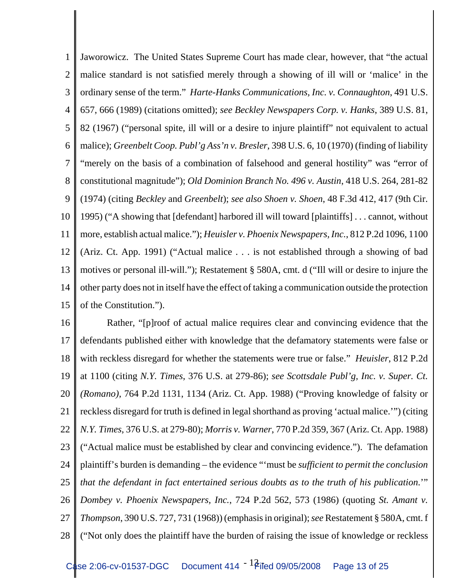1 2 3 4 5 6 7 8 9 10 11 12 13 14 15 Jaworowicz. The United States Supreme Court has made clear, however, that "the actual malice standard is not satisfied merely through a showing of ill will or 'malice' in the ordinary sense of the term." *Harte-Hanks Communications, Inc. v. Connaughton*, 491 U.S. 657, 666 (1989) (citations omitted); *see Beckley Newspapers Corp. v. Hanks*, 389 U.S. 81, 82 (1967) ("personal spite, ill will or a desire to injure plaintiff" not equivalent to actual malice); *Greenbelt Coop. Publ'g Ass'n v. Bresler*, 398 U.S. 6, 10 (1970) (finding of liability "merely on the basis of a combination of falsehood and general hostility" was "error of constitutional magnitude"); *Old Dominion Branch No. 496 v. Austin*, 418 U.S. 264, 281-82 (1974) (citing *Beckley* and *Greenbelt*); *see also Shoen v. Shoen*, 48 F.3d 412, 417 (9th Cir. 1995) ("A showing that [defendant] harbored ill will toward [plaintiffs] . . . cannot, without more, establish actual malice."); *Heuisler v. Phoenix Newspapers, Inc.*, 812 P.2d 1096, 1100 (Ariz. Ct. App. 1991) ("Actual malice . . . is not established through a showing of bad motives or personal ill-will."); Restatement § 580A, cmt. d ("Ill will or desire to injure the other party does not in itself have the effect of taking a communication outside the protection of the Constitution.").

16 17 18 19 20 21 22 23 24 25 26 27 28 Rather, "[p]roof of actual malice requires clear and convincing evidence that the defendants published either with knowledge that the defamatory statements were false or with reckless disregard for whether the statements were true or false." *Heuisler*, 812 P.2d at 1100 (citing *N.Y. Times*, 376 U.S. at 279-86); *see Scottsdale Publ'g, Inc. v. Super. Ct. (Romano)*, 764 P.2d 1131, 1134 (Ariz. Ct. App. 1988) ("Proving knowledge of falsity or reckless disregard for truth is defined in legal shorthand as proving 'actual malice.'") (citing *N.Y. Times*, 376 U.S. at 279-80); *Morris v. Warner*, 770 P.2d 359, 367 (Ariz. Ct. App. 1988) ("Actual malice must be established by clear and convincing evidence."). The defamation plaintiff's burden is demanding – the evidence "'must be *sufficient to permit the conclusion that the defendant in fact entertained serious doubts as to the truth of his publication*.'" *Dombey v. Phoenix Newspapers, Inc.*, 724 P.2d 562, 573 (1986) (quoting *St. Amant v. Thompson*, 390 U.S. 727, 731 (1968)) (emphasis in original); *see* Restatement § 580A, cmt. f ("Not only does the plaintiff have the burden of raising the issue of knowledge or reckless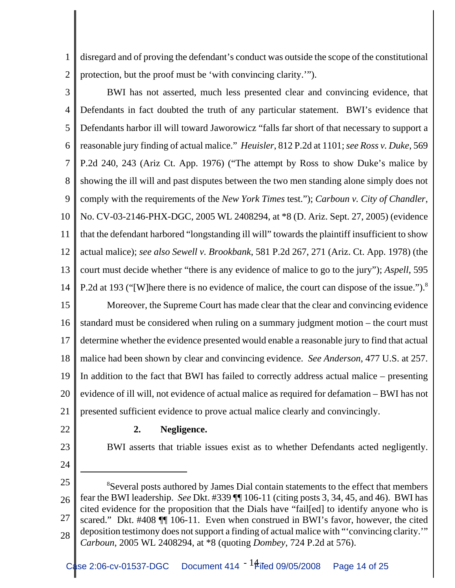1 2 disregard and of proving the defendant's conduct was outside the scope of the constitutional protection, but the proof must be 'with convincing clarity.'").

3 4 5 6 7 8 9 10 11 12 13 14 15 16 17 18 19 20 BWI has not asserted, much less presented clear and convincing evidence, that Defendants in fact doubted the truth of any particular statement. BWI's evidence that Defendants harbor ill will toward Jaworowicz "falls far short of that necessary to support a reasonable jury finding of actual malice." *Heuisler*, 812 P.2d at 1101; *see Ross v. Duke*, 569 P.2d 240, 243 (Ariz Ct. App. 1976) ("The attempt by Ross to show Duke's malice by showing the ill will and past disputes between the two men standing alone simply does not comply with the requirements of the *New York Times* test."); *Carboun v. City of Chandler*, No. CV-03-2146-PHX-DGC, 2005 WL 2408294, at \*8 (D. Ariz. Sept. 27, 2005) (evidence that the defendant harbored "longstanding ill will" towards the plaintiff insufficient to show actual malice); *see also Sewell v. Brookbank*, 581 P.2d 267, 271 (Ariz. Ct. App. 1978) (the court must decide whether "there is any evidence of malice to go to the jury"); *Aspell*, 595 P.2d at 193 ("[W]here there is no evidence of malice, the court can dispose of the issue.").<sup>8</sup> Moreover, the Supreme Court has made clear that the clear and convincing evidence standard must be considered when ruling on a summary judgment motion – the court must determine whether the evidence presented would enable a reasonable jury to find that actual malice had been shown by clear and convincing evidence. *See Anderson*, 477 U.S. at 257. In addition to the fact that BWI has failed to correctly address actual malice – presenting evidence of ill will, not evidence of actual malice as required for defamation – BWI has not

21 presented sufficient evidence to prove actual malice clearly and convincingly.

22

# 23

## **2. Negligence.**

BWI asserts that triable issues exist as to whether Defendants acted negligently.

<sup>25</sup> 26 27 28 <sup>8</sup>Several posts authored by James Dial contain statements to the effect that members fear the BWI leadership. *See* Dkt. #339 ¶¶ 106-11 (citing posts 3, 34, 45, and 46). BWI has cited evidence for the proposition that the Dials have "fail[ed] to identify anyone who is scared." Dkt. #408 ¶¶ 106-11. Even when construed in BWI's favor, however, the cited deposition testimony does not support a finding of actual malice with "'convincing clarity.'" *Carboun*, 2005 WL 2408294, at \*8 (quoting *Dombey*, 724 P.2d at 576).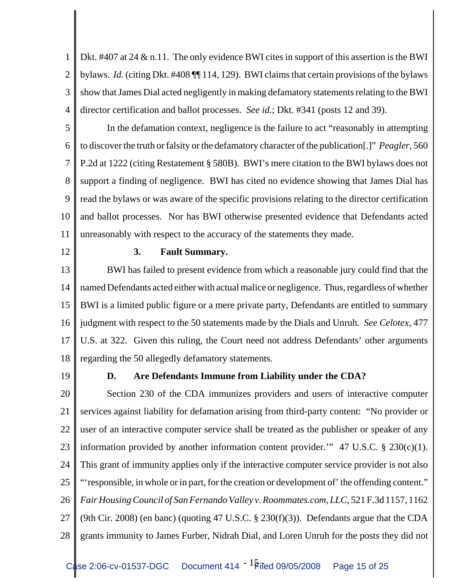1 2 3 4 Dkt. #407 at 24 & n.11. The only evidence BWI cites in support of this assertion is the BWI bylaws. *Id.* (citing Dkt. #408 ¶¶ 114, 129). BWI claims that certain provisions of the bylaws show that James Dial acted negligently in making defamatory statements relating to the BWI director certification and ballot processes. *See id.*; Dkt. #341 (posts 12 and 39).

5 6 7 8 9 10 11 In the defamation context, negligence is the failure to act "reasonably in attempting to discover the truth or falsity or the defamatory character of the publication[.]" *Peagler*, 560 P.2d at 1222 (citing Restatement § 580B). BWI's mere citation to the BWI bylaws does not support a finding of negligence. BWI has cited no evidence showing that James Dial has read the bylaws or was aware of the specific provisions relating to the director certification and ballot processes. Nor has BWI otherwise presented evidence that Defendants acted unreasonably with respect to the accuracy of the statements they made.

12

### **3. Fault Summary.**

13 14 15 16 17 18 BWI has failed to present evidence from which a reasonable jury could find that the named Defendants acted either with actual malice or negligence. Thus, regardless of whether BWI is a limited public figure or a mere private party, Defendants are entitled to summary judgment with respect to the 50 statements made by the Dials and Unruh. *See Celotex*, 477 U.S. at 322. Given this ruling, the Court need not address Defendants' other arguments regarding the 50 allegedly defamatory statements.

19

### **D. Are Defendants Immune from Liability under the CDA?**

20 21 22 23 24 25 26 27 28 Section 230 of the CDA immunizes providers and users of interactive computer services against liability for defamation arising from third-party content: "No provider or user of an interactive computer service shall be treated as the publisher or speaker of any information provided by another information content provider.'" 47 U.S.C. § 230(c)(1). This grant of immunity applies only if the interactive computer service provider is not also "'responsible, in whole or in part, for the creation or development of' the offending content." *Fair Housing Council of San Fernando Valley v. Roommates.com, LLC*, 521 F.3d 1157, 1162 (9th Cir. 2008) (en banc) (quoting 47 U.S.C. § 230(f)(3)). Defendants argue that the CDA grants immunity to James Furber, Nidrah Dial, and Loren Unruh for the posts they did not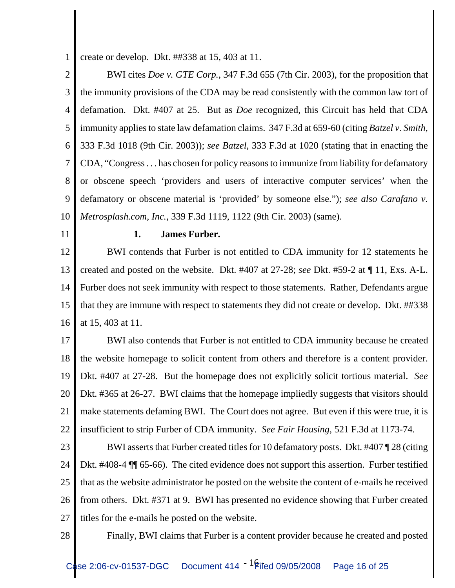1 create or develop. Dkt. ##338 at 15, 403 at 11.

2 3 4 5 6 7 8 9 10 BWI cites *Doe v. GTE Corp.*, 347 F.3d 655 (7th Cir. 2003), for the proposition that the immunity provisions of the CDA may be read consistently with the common law tort of defamation. Dkt. #407 at 25. But as *Doe* recognized, this Circuit has held that CDA immunity applies to state law defamation claims. 347 F.3d at 659-60 (citing *Batzel v. Smith*, 333 F.3d 1018 (9th Cir. 2003)); *see Batzel*, 333 F.3d at 1020 (stating that in enacting the CDA, "Congress . . . has chosen for policy reasons to immunize from liability for defamatory or obscene speech 'providers and users of interactive computer services' when the defamatory or obscene material is 'provided' by someone else."); *see also Carafano v. Metrosplash.com, Inc.*, 339 F.3d 1119, 1122 (9th Cir. 2003) (same).

11

### **1. James Furber.**

12 13 14 15 16 BWI contends that Furber is not entitled to CDA immunity for 12 statements he created and posted on the website. Dkt. #407 at 27-28; *see* Dkt. #59-2 at ¶ 11, Exs. A-L. Furber does not seek immunity with respect to those statements. Rather, Defendants argue that they are immune with respect to statements they did not create or develop. Dkt. ##338 at 15, 403 at 11.

17 18 19 20 21 22 BWI also contends that Furber is not entitled to CDA immunity because he created the website homepage to solicit content from others and therefore is a content provider. Dkt. #407 at 27-28. But the homepage does not explicitly solicit tortious material. *See* Dkt. #365 at 26-27. BWI claims that the homepage impliedly suggests that visitors should make statements defaming BWI. The Court does not agree. But even if this were true, it is insufficient to strip Furber of CDA immunity. *See Fair Housing*, 521 F.3d at 1173-74.

23 24 25 26 27 BWI asserts that Furber created titles for 10 defamatory posts. Dkt. #407 ¶ 28 (citing Dkt. #408-4  $\P$  65-66). The cited evidence does not support this assertion. Furber testified that as the website administrator he posted on the website the content of e-mails he received from others. Dkt. #371 at 9. BWI has presented no evidence showing that Furber created titles for the e-mails he posted on the website.

28

Finally, BWI claims that Furber is a content provider because he created and posted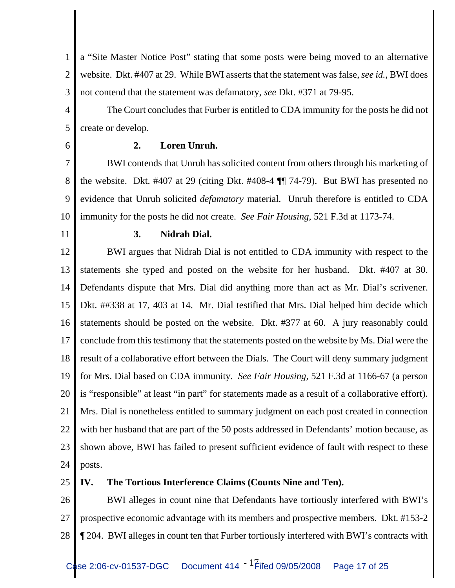1 2 3 a "Site Master Notice Post" stating that some posts were being moved to an alternative website. Dkt. #407 at 29. While BWI asserts that the statement was false, *see id.*, BWI does not contend that the statement was defamatory, *see* Dkt. #371 at 79-95.

4 5 The Court concludes that Furber is entitled to CDA immunity for the posts he did not create or develop.

6

### **2. Loren Unruh.**

7 8 9 10 BWI contends that Unruh has solicited content from others through his marketing of the website. Dkt. #407 at 29 (citing Dkt. #408-4 ¶¶ 74-79). But BWI has presented no evidence that Unruh solicited *defamatory* material. Unruh therefore is entitled to CDA immunity for the posts he did not create. *See Fair Housing*, 521 F.3d at 1173-74.

11

### **3. Nidrah Dial.**

12 13 14 15 16 17 18 19 20 21 22 23 24 BWI argues that Nidrah Dial is not entitled to CDA immunity with respect to the statements she typed and posted on the website for her husband. Dkt. #407 at 30. Defendants dispute that Mrs. Dial did anything more than act as Mr. Dial's scrivener. Dkt. ##338 at 17, 403 at 14. Mr. Dial testified that Mrs. Dial helped him decide which statements should be posted on the website. Dkt. #377 at 60. A jury reasonably could conclude from this testimony that the statements posted on the website by Ms. Dial were the result of a collaborative effort between the Dials. The Court will deny summary judgment for Mrs. Dial based on CDA immunity. *See Fair Housing*, 521 F.3d at 1166-67 (a person is "responsible" at least "in part" for statements made as a result of a collaborative effort). Mrs. Dial is nonetheless entitled to summary judgment on each post created in connection with her husband that are part of the 50 posts addressed in Defendants' motion because, as shown above, BWI has failed to present sufficient evidence of fault with respect to these posts.

25

### **IV. The Tortious Interference Claims (Counts Nine and Ten).**

26 27 28 BWI alleges in count nine that Defendants have tortiously interfered with BWI's prospective economic advantage with its members and prospective members. Dkt. #153-2 ¶ 204. BWI alleges in count ten that Furber tortiously interfered with BWI's contracts with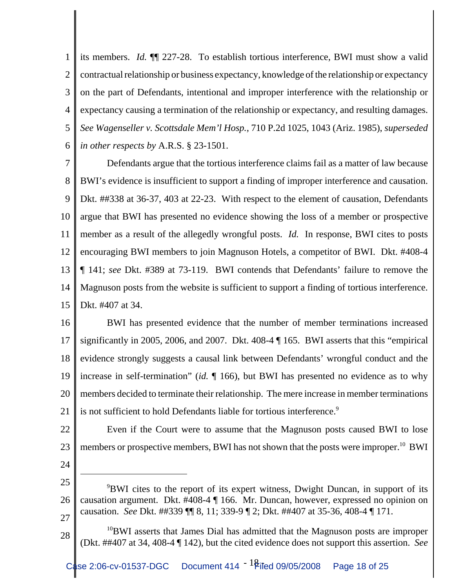1 2 3 4 5 6 its members. *Id.* ¶¶ 227-28. To establish tortious interference, BWI must show a valid contractual relationship or business expectancy, knowledge of the relationship or expectancy on the part of Defendants, intentional and improper interference with the relationship or expectancy causing a termination of the relationship or expectancy, and resulting damages. *See Wagenseller v. Scottsdale Mem'l Hosp.*, 710 P.2d 1025, 1043 (Ariz. 1985), *superseded in other respects by* A.R.S. § 23-1501.

7 8 9 10 11 12 13 14 15 Defendants argue that the tortious interference claims fail as a matter of law because BWI's evidence is insufficient to support a finding of improper interference and causation. Dkt. ##338 at 36-37, 403 at 22-23. With respect to the element of causation, Defendants argue that BWI has presented no evidence showing the loss of a member or prospective member as a result of the allegedly wrongful posts. *Id.* In response, BWI cites to posts encouraging BWI members to join Magnuson Hotels, a competitor of BWI. Dkt. #408-4 ¶ 141; *see* Dkt. #389 at 73-119. BWI contends that Defendants' failure to remove the Magnuson posts from the website is sufficient to support a finding of tortious interference. Dkt. #407 at 34.

16 17 18 19 20 21 BWI has presented evidence that the number of member terminations increased significantly in 2005, 2006, and 2007. Dkt. 408-4 ¶ 165. BWI asserts that this "empirical evidence strongly suggests a causal link between Defendants' wrongful conduct and the increase in self-termination" (*id.* ¶ 166), but BWI has presented no evidence as to why members decided to terminate their relationship. The mere increase in member terminations is not sufficient to hold Defendants liable for tortious interference.<sup>9</sup>

22 23 Even if the Court were to assume that the Magnuson posts caused BWI to lose members or prospective members, BWI has not shown that the posts were improper.<sup>10</sup> BWI

<sup>25</sup> 26 27 <sup>9</sup>BWI cites to the report of its expert witness, Dwight Duncan, in support of its causation argument. Dkt. #408-4 ¶ 166. Mr. Duncan, however, expressed no opinion on causation. *See* Dkt. ##339 ¶¶ 8, 11; 339-9 ¶ 2; Dkt. ##407 at 35-36, 408-4 ¶ 171.

<sup>28</sup> <sup>10</sup>BWI asserts that James Dial has admitted that the Magnuson posts are improper (Dkt. ##407 at 34, 408-4 ¶ 142), but the cited evidence does not support this assertion. *See*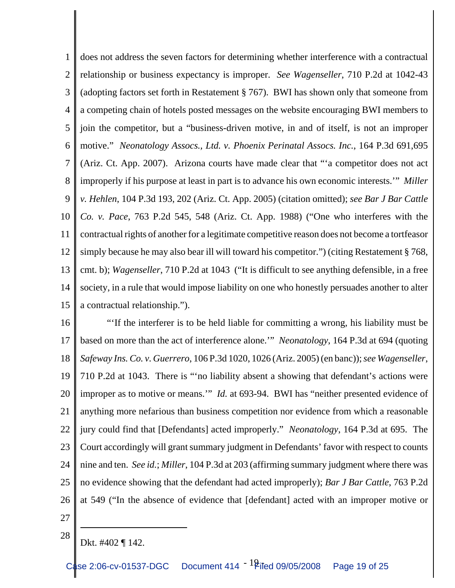1 2 3 4 5 6 7 8 9 10 11 12 13 14 15 does not address the seven factors for determining whether interference with a contractual relationship or business expectancy is improper. *See Wagenseller*, 710 P.2d at 1042-43 (adopting factors set forth in Restatement § 767). BWI has shown only that someone from a competing chain of hotels posted messages on the website encouraging BWI members to join the competitor, but a "business-driven motive, in and of itself, is not an improper motive." *Neonatology Assocs., Ltd. v. Phoenix Perinatal Assocs. Inc.*, 164 P.3d 691,695 (Ariz. Ct. App. 2007). Arizona courts have made clear that "'a competitor does not act improperly if his purpose at least in part is to advance his own economic interests.'" *Miller v. Hehlen*, 104 P.3d 193, 202 (Ariz. Ct. App. 2005) (citation omitted); *see Bar J Bar Cattle Co. v. Pace*, 763 P.2d 545, 548 (Ariz. Ct. App. 1988) ("One who interferes with the contractual rights of another for a legitimate competitive reason does not become a tortfeasor simply because he may also bear ill will toward his competitor.") (citing Restatement § 768, cmt. b); *Wagenseller*, 710 P.2d at 1043 ("It is difficult to see anything defensible, in a free society, in a rule that would impose liability on one who honestly persuades another to alter a contractual relationship.").

16 17 18 19 20 21 22 23 24 25 26 "'If the interferer is to be held liable for committing a wrong, his liability must be based on more than the act of interference alone.'" *Neonatology*, 164 P.3d at 694 (quoting *Safeway Ins. Co. v. Guerrero*, 106 P.3d 1020, 1026 (Ariz. 2005) (en banc)); *see Wagenseller*, 710 P.2d at 1043. There is "'no liability absent a showing that defendant's actions were improper as to motive or means.'" *Id.* at 693-94. BWI has "neither presented evidence of anything more nefarious than business competition nor evidence from which a reasonable jury could find that [Defendants] acted improperly." *Neonatology*, 164 P.3d at 695. The Court accordingly will grant summary judgment in Defendants' favor with respect to counts nine and ten. *See id.*; *Miller*, 104 P.3d at 203 (affirming summary judgment where there was no evidence showing that the defendant had acted improperly); *Bar J Bar Cattle*, 763 P.2d at 549 ("In the absence of evidence that [defendant] acted with an improper motive or

- 27 28
- Dkt. #402 ¶ 142.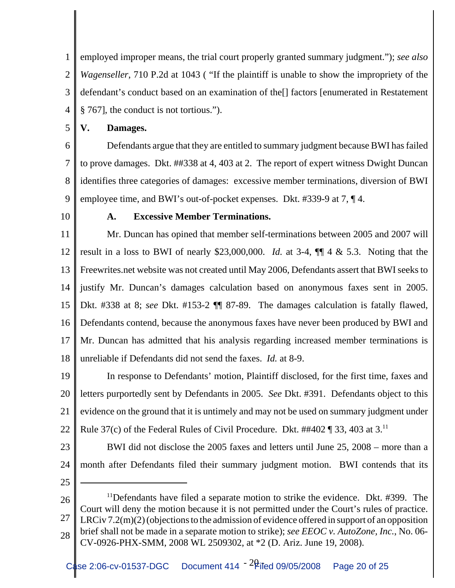1 2 3 4 employed improper means, the trial court properly granted summary judgment."); *see also Wagenseller*, 710 P.2d at 1043 ( "If the plaintiff is unable to show the impropriety of the defendant's conduct based on an examination of the[] factors [enumerated in Restatement § 767], the conduct is not tortious.").

5 **V. Damages.**

6

7 8 9 Defendants argue that they are entitled to summary judgment because BWI has failed to prove damages. Dkt. ##338 at 4, 403 at 2. The report of expert witness Dwight Duncan identifies three categories of damages: excessive member terminations, diversion of BWI employee time, and BWI's out-of-pocket expenses. Dkt. #339-9 at 7, ¶ 4.

10

### **A. Excessive Member Terminations.**

11 12 13 14 15 16 17 18 Mr. Duncan has opined that member self-terminations between 2005 and 2007 will result in a loss to BWI of nearly \$23,000,000. *Id.* at 3-4, ¶¶ 4 & 5.3. Noting that the Freewrites.net website was not created until May 2006, Defendants assert that BWI seeks to justify Mr. Duncan's damages calculation based on anonymous faxes sent in 2005. Dkt. #338 at 8; *see* Dkt. #153-2 ¶¶ 87-89. The damages calculation is fatally flawed, Defendants contend, because the anonymous faxes have never been produced by BWI and Mr. Duncan has admitted that his analysis regarding increased member terminations is unreliable if Defendants did not send the faxes. *Id.* at 8-9.

19 20 21 22 In response to Defendants' motion, Plaintiff disclosed, for the first time, faxes and letters purportedly sent by Defendants in 2005. *See* Dkt. #391. Defendants object to this evidence on the ground that it is untimely and may not be used on summary judgment under Rule 37(c) of the Federal Rules of Civil Procedure. Dkt.  $\#402 \P 33$ , 403 at 3.<sup>11</sup>

23

24 BWI did not disclose the 2005 faxes and letters until June 25, 2008 – more than a month after Defendants filed their summary judgment motion. BWI contends that its

<sup>26</sup> 27 28 <sup>11</sup>Defendants have filed a separate motion to strike the evidence. Dkt. #399. The Court will deny the motion because it is not permitted under the Court's rules of practice. LRCiv 7.2(m)(2) (objections to the admission of evidence offered in support of an opposition brief shall not be made in a separate motion to strike); *see EEOC v. AutoZone, Inc.*, No. 06- CV-0926-PHX-SMM, 2008 WL 2509302, at \*2 (D. Ariz. June 19, 2008).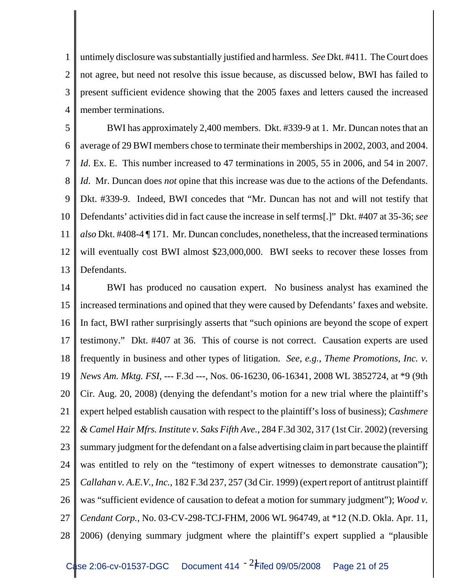1 2 3 4 untimely disclosure was substantially justified and harmless. *See* Dkt. #411. The Court does not agree, but need not resolve this issue because, as discussed below, BWI has failed to present sufficient evidence showing that the 2005 faxes and letters caused the increased member terminations.

5 6 7 8 9 10 11 12 13 BWI has approximately 2,400 members. Dkt. #339-9 at 1. Mr. Duncan notes that an average of 29 BWI members chose to terminate their memberships in 2002, 2003, and 2004. *Id.* Ex. E. This number increased to 47 terminations in 2005, 55 in 2006, and 54 in 2007. *Id*. Mr. Duncan does *not* opine that this increase was due to the actions of the Defendants. Dkt. #339-9. Indeed, BWI concedes that "Mr. Duncan has not and will not testify that Defendants' activities did in fact cause the increase in self terms[.]" Dkt. #407 at 35-36; *see also* Dkt. #408-4 ¶ 171. Mr. Duncan concludes, nonetheless, that the increased terminations will eventually cost BWI almost \$23,000,000. BWI seeks to recover these losses from Defendants.

14 15 16 17 18 19 20 21 22 23 24 25 26 27 28 BWI has produced no causation expert. No business analyst has examined the increased terminations and opined that they were caused by Defendants' faxes and website. In fact, BWI rather surprisingly asserts that "such opinions are beyond the scope of expert testimony." Dkt. #407 at 36. This of course is not correct. Causation experts are used frequently in business and other types of litigation. *See, e.g.*, *Theme Promotions, Inc. v. News Am. Mktg. FSI*, --- F.3d ---, Nos. 06-16230, 06-16341, 2008 WL 3852724, at \*9 (9th Cir. Aug. 20, 2008) (denying the defendant's motion for a new trial where the plaintiff's expert helped establish causation with respect to the plaintiff's loss of business); *Cashmere & Camel Hair Mfrs. Institute v. Saks Fifth Ave.*, 284 F.3d 302, 317 (1st Cir. 2002) (reversing summary judgment for the defendant on a false advertising claim in part because the plaintiff was entitled to rely on the "testimony of expert witnesses to demonstrate causation"); *Callahan v. A.E.V., Inc.*, 182 F.3d 237, 257 (3d Cir. 1999) (expert report of antitrust plaintiff was "sufficient evidence of causation to defeat a motion for summary judgment"); *Wood v. Cendant Corp.*, No. 03-CV-298-TCJ-FHM, 2006 WL 964749, at \*12 (N.D. Okla. Apr. 11, 2006) (denying summary judgment where the plaintiff's expert supplied a "plausible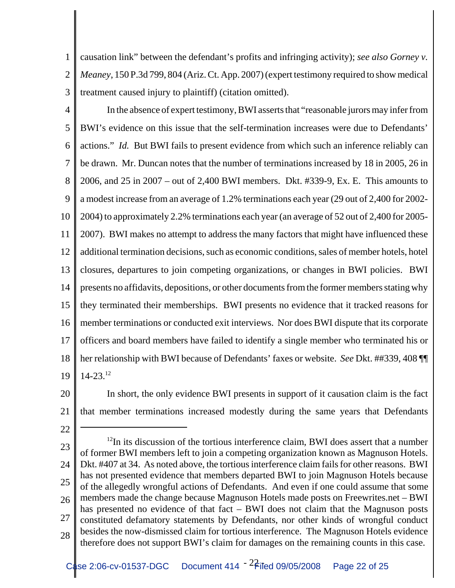1 2 3 causation link" between the defendant's profits and infringing activity); *see also Gorney v. Meaney*, 150 P.3d 799, 804 (Ariz. Ct. App. 2007) (expert testimony required to show medical treatment caused injury to plaintiff) (citation omitted).

- 4 5 6 7 8 9 10 11 12 13 14 15 16 17 18 19 In the absence of expert testimony, BWI asserts that "reasonable jurors may infer from BWI's evidence on this issue that the self-termination increases were due to Defendants' actions." *Id.* But BWI fails to present evidence from which such an inference reliably can be drawn. Mr. Duncan notes that the number of terminations increased by 18 in 2005, 26 in 2006, and 25 in 2007 – out of 2,400 BWI members. Dkt. #339-9, Ex. E. This amounts to a modest increase from an average of 1.2% terminations each year (29 out of 2,400 for 2002- 2004) to approximately 2.2% terminations each year (an average of 52 out of 2,400 for 2005- 2007). BWI makes no attempt to address the many factors that might have influenced these additional termination decisions, such as economic conditions, sales of member hotels, hotel closures, departures to join competing organizations, or changes in BWI policies. BWI presents no affidavits, depositions, or other documents from the former members stating why they terminated their memberships. BWI presents no evidence that it tracked reasons for member terminations or conducted exit interviews. Nor does BWI dispute that its corporate officers and board members have failed to identify a single member who terminated his or her relationship with BWI because of Defendants' faxes or website. *See* Dkt. ##339, 408 ¶¶  $14 - 23$ <sup>12</sup>
- 20 21 In short, the only evidence BWI presents in support of it causation claim is the fact that member terminations increased modestly during the same years that Defendants
- 22
- 23 24 25 26 27 28  $12$ In its discussion of the tortious interference claim, BWI does assert that a number of former BWI members left to join a competing organization known as Magnuson Hotels. Dkt. #407 at 34. As noted above, the tortious interference claim fails for other reasons. BWI has not presented evidence that members departed BWI to join Magnuson Hotels because of the allegedly wrongful actions of Defendants. And even if one could assume that some members made the change because Magnuson Hotels made posts on Freewrites.net – BWI has presented no evidence of that fact – BWI does not claim that the Magnuson posts constituted defamatory statements by Defendants, nor other kinds of wrongful conduct besides the now-dismissed claim for tortious interference. The Magnuson Hotels evidence therefore does not support BWI's claim for damages on the remaining counts in this case.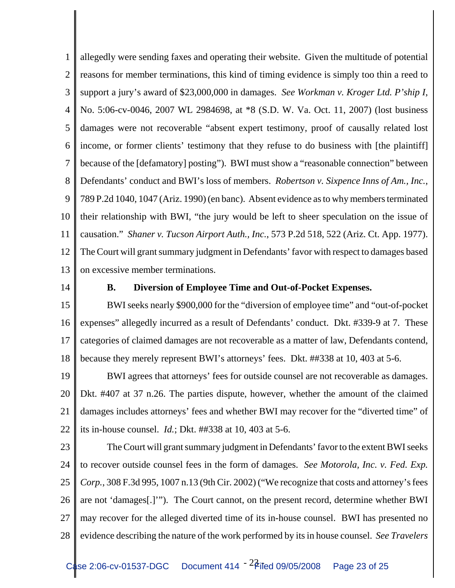1 2 3 4 5 6 7 8 9 10 11 12 13 allegedly were sending faxes and operating their website. Given the multitude of potential reasons for member terminations, this kind of timing evidence is simply too thin a reed to support a jury's award of \$23,000,000 in damages. *See Workman v. Kroger Ltd. P'ship I*, No. 5:06-cv-0046, 2007 WL 2984698, at \*8 (S.D. W. Va. Oct. 11, 2007) (lost business damages were not recoverable "absent expert testimony, proof of causally related lost income, or former clients' testimony that they refuse to do business with [the plaintiff] because of the [defamatory] posting"). BWI must show a "reasonable connection" between Defendants' conduct and BWI's loss of members. *Robertson v. Sixpence Inns of Am., Inc.*, 789 P.2d 1040, 1047 (Ariz. 1990) (en banc). Absent evidence as to why members terminated their relationship with BWI, "the jury would be left to sheer speculation on the issue of causation." *Shaner v. Tucson Airport Auth., Inc.*, 573 P.2d 518, 522 (Ariz. Ct. App. 1977). The Court will grant summary judgment in Defendants' favor with respect to damages based on excessive member terminations.

14

### **B. Diversion of Employee Time and Out-of-Pocket Expenses.**

15 16 17 18 BWI seeks nearly \$900,000 for the "diversion of employee time" and "out-of-pocket expenses" allegedly incurred as a result of Defendants' conduct. Dkt. #339-9 at 7. These categories of claimed damages are not recoverable as a matter of law, Defendants contend, because they merely represent BWI's attorneys' fees. Dkt. ##338 at 10, 403 at 5-6.

19 20 21 22 BWI agrees that attorneys' fees for outside counsel are not recoverable as damages. Dkt. #407 at 37 n.26. The parties dispute, however, whether the amount of the claimed damages includes attorneys' fees and whether BWI may recover for the "diverted time" of its in-house counsel. *Id.*; Dkt. ##338 at 10, 403 at 5-6.

23

24 25 26 27 28 The Court will grant summary judgment in Defendants' favor to the extent BWI seeks to recover outside counsel fees in the form of damages. *See Motorola, Inc. v. Fed. Exp. Corp.*, 308 F.3d 995, 1007 n.13 (9th Cir. 2002) ("We recognize that costs and attorney's fees are not 'damages[.]'"). The Court cannot, on the present record, determine whether BWI may recover for the alleged diverted time of its in-house counsel. BWI has presented no evidence describing the nature of the work performed by its in house counsel. *See Travelers*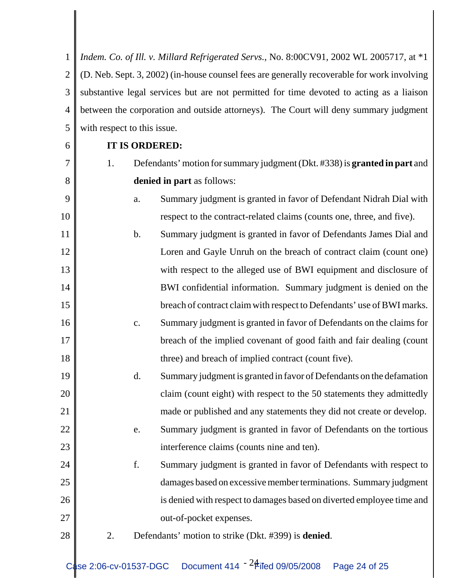1 2 3 4 5 *Indem. Co. of Ill. v. Millard Refrigerated Servs.*, No. 8:00CV91, 2002 WL 2005717, at \*1 (D. Neb. Sept. 3, 2002) (in-house counsel fees are generally recoverable for work involving substantive legal services but are not permitted for time devoted to acting as a liaison between the corporation and outside attorneys). The Court will deny summary judgment with respect to this issue.

6

7

8

9

10

16

17

18

19

20

21

22

23

24

25

26

27

### **IT IS ORDERED:**

- 1. Defendants' motion for summary judgment (Dkt. #338) is **granted in part** and **denied in part** as follows:
	- a. Summary judgment is granted in favor of Defendant Nidrah Dial with respect to the contract-related claims (counts one, three, and five).
- 11 12 13 14 15 b. Summary judgment is granted in favor of Defendants James Dial and Loren and Gayle Unruh on the breach of contract claim (count one) with respect to the alleged use of BWI equipment and disclosure of BWI confidential information. Summary judgment is denied on the breach of contract claim with respect to Defendants' use of BWI marks.
	- c. Summary judgment is granted in favor of Defendants on the claims for breach of the implied covenant of good faith and fair dealing (count three) and breach of implied contract (count five).
	- d. Summary judgment is granted in favor of Defendants on the defamation claim (count eight) with respect to the 50 statements they admittedly made or published and any statements they did not create or develop.
		- e. Summary judgment is granted in favor of Defendants on the tortious interference claims (counts nine and ten).
	- f. Summary judgment is granted in favor of Defendants with respect to damages based on excessive member terminations. Summary judgment is denied with respect to damages based on diverted employee time and out-of-pocket expenses.
- 28
- 2. Defendants' motion to strike (Dkt. #399) is **denied**.